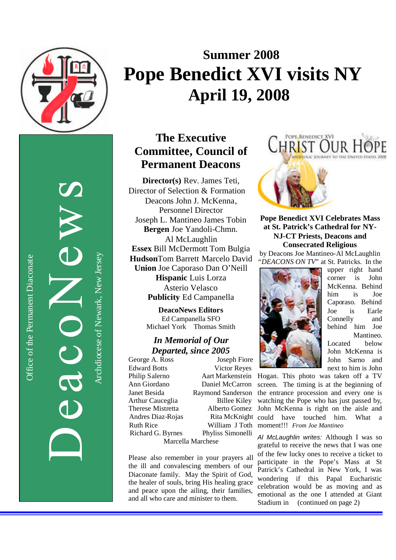

Office of the Permanent Diaconate

Office of the Permanent Diaconate

# **Summer 2008 Pope Benedict XVI visits NY April 19, 2008**

# **The Executive Committee , Council of Permanent Deacons**

**Director(s)** Rev. James Teti, Director of Selection & Formation Deacon s John J. McKenna , Personnel Director Joseph L. Mantineo James Tobin **Bergen** Joe Yandoli -Chmn . Al McLaughlin **Essex** Bill McDermott Tom Bulgia **Hudson**Tom Barrett Marcelo David **Union** Joe Caporaso Dan O'Neill **Hispanic** Luis Lorza Asterio Velasco **Publicity** Ed Campanella

> **DeacoNews Editor s** Ed Campanella SFO Michael York Thomas Smith

### *In Memorial of Our Departed, since 2005*

George A. Ross Joseph Fiore Edward Botts Victor Reyes Philip Salerno Aart Markenstein Ann Giordano Daniel McCarron Janet Besida Raymond Sanderson Arthur Cauceglia Billee Kiley Therese Mistretta Alberto Gomez Andres Diaz Richard G. Byrnes Phyliss Simonelli Marcella Marchese

Please also remember in your prayers all the ill and convalescing members of our Diaconate family. May the Spirit of God, the healer of souls, bring His healing grace and peace upon the ailing, their families, and all who care and minister to them.



**Pope Benedict XVI Celebrates Mass at St. Patrick's Cathedral for NY - NJ -CT Priests, Deacons and Consecrated Religious**

by Deacon s Joe Mantineo -Al McLaughlin *"DEACONS ON TV*" at St. Patricks . In the



upper right hand corner is John McKenna. Behind him is Joe Caporaso. Behind Joe is Earle Connelly and behind him Joe Mantineo. Located below John McKenna is

John Sarno and

-Rojas Rita McKnight could have touched him. What a Ruth Rice William J Toth moment!!! *From Joe Mantineo* next to him is John Hogan . This photo was taken off a TV screen. The timing is at the beginning of the entrance procession and every one is watching the Pope who has just passed by, John McKenna is right on the aisle and

> *Al McLaughlin writes :* Although I was so grateful to receive the news that I was one of the few lucky ones to receive a ticket to participate in the Pope's Mass at St Patrick's Cathedral in New York, I was wondering if this Papal Eucharistic celebration would be as moving and as emotional as the one I attended at Giant Stadium in (continued on page 2)

Archdiocese of Newark, New JerseyArchdiocese of Newark, New Jersey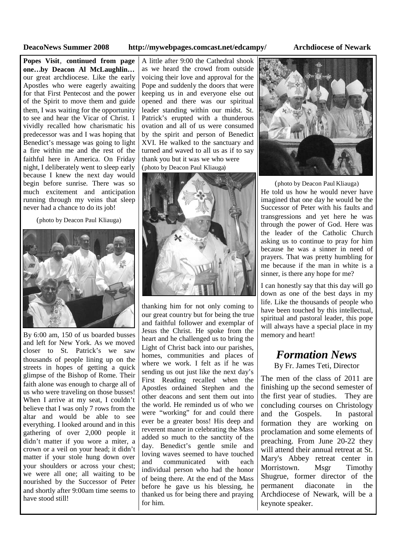### **DeacoNews Summer 2008 http://mywebpages.comcast.net/edcampy/ Archdiocese of Newark**

**Popes Visit**, **continued from page one…by Deacon Al McLaughlin…** our great archdiocese. Like the early Apostles who were eagerly awaiting for that First Pentecost and the power of the Spirit to move them and guide them, I was waiting for the opportunity to see and hear the Vicar of Christ. I vividly recalled how charismatic his predecessor was and I was hoping that Benedict's message was going to light a fire within me and the rest of the faithful here in America. On Friday night, I deliberately went to sleep early because I knew the next day would begin before sunrise. There was so much excitement and anticipation running through my veins that sleep never had a chance to do its job!

(photo by Deacon Paul Kliauga)



By 6:00 am, 150 of us boarded busses and left for New York. As we moved closer to St. Patrick's we saw thousands of people lining up on the streets in hopes of getting a quick glimpse of the Bishop of Rome. Their faith alone was enough to charge all of us who were traveling on those busses! When I arrive at my seat, I couldn't believe that I was only 7 rows from the altar and would be able to see everything. I looked around and in this gathering of over 2,000 people it didn't matter if you wore a miter, a crown or a veil on your head; it didn't matter if your stole hung down over and your shoulders or across your chest; we were all one; all waiting to be nourished by the Successor of Peter and shortly after 9:00am time seems to have stood still!

A little after 9:00 the Cathedral shook as we heard the crowd from outside voicing their love and approval for the Pope and suddenly the doors that were keeping us in and everyone else out opened and there was our spiritual leader standing within our midst. St. Patrick's erupted with a thunderous ovation and all of us were consumed by the spirit and person of Benedict XVI. He walked to the sanctuary and turned and waved to all us as if to say thank you but it was we who were (photo by Deacon Paul Kliauga)



thanking him for not only coming to our great country but for being the true and faithful follower and exemplar of Jesus the Christ. He spoke from the heart and he challenged us to bring the Light of Christ back into our parishes, homes, communities and places of where we work. I felt as if he was sending us out just like the next day's First Reading recalled when the Apostles ordained Stephen and the other deacons and sent them out into the world. He reminded us of who we were "working" for and could there ever be a greater boss! His deep and reverent manor in celebrating the Mass added so much to the sanctity of the day. Benedict's gentle smile and loving waves seemed to have touched communicated with each individual person who had the honor of being there. At the end of the Mass before he gave us his blessing, he thanked us for being there and praying for him.



(photo by Deacon Paul Kliauga) He told us how he would never have imagined that one day he would be the Successor of Peter with his faults and transgressions and yet here he was through the power of God. Here was the leader of the Catholic Church asking us to continue to pray for him because he was a sinner in need of prayers. That was pretty humbling for me because if the man in white is a sinner, is there any hope for me?

I can honestly say that this day will go down as one of the best days in my life. Like the thousands of people who have been touched by this intellectual, spiritual and pastoral leader, this pope will always have a special place in my memory and heart!

## *Formation News*

By Fr. James Teti, Director

The men of the class of 2011 are finishing up the second semester of the first year of studies. They are concluding courses on Christology and the Gospels. In pastoral formation they are working on proclamation and some elements of preaching. From June 20-22 they will attend their annual retreat at St. Mary's Abbey retreat center in Morristown. Msgr Timothy Shugrue, former director of the permanent diaconate in the Archdiocese of Newark, will be a keynote speaker.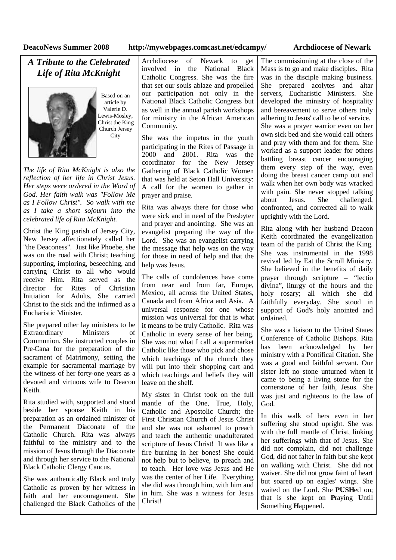### **DeacoNews Summer 2008 http://mywebpages.comcast.net/edcampy/ Archdiocese of Newark**

### *A Tribute to the Celebrated Life of Rita McKnight*



Based on an article by Valerie D. Lewis-Mosley, Christ the King Church Jersey **City** 

*The life of Rita McKnight is also the reflection of her life in Christ Jesus. Her steps were ordered in the Word of God. Her faith walk was "Follow Me as I Follow Christ". So walk with me as I take a short sojourn into the celebrated life of Rita McKnight.*

Christ the King parish of Jersey City, New Jersey affectionately called her "the Deaconess". Just like Phoebe, she was on the road with Christ; teaching supporting, imploring, beseeching, and carrying Christ to all who would receive Him. Rita served as the director for Rites of Christian Initiation for Adults. She carried Christ to the sick and the infirmed as a Eucharistic Minister.

She prepared other lay ministers to be Extraordinary Ministers of Communion. She instructed couples in Pre-Cana for the preparation of the sacrament of Matrimony, setting the example for sacramental marriage by the witness of her forty-one years as a devoted and virtuous wife to Deacon Keith.

Rita studied with, supported and stood beside her spouse Keith in his preparation as an ordained minister of the Permanent Diaconate of the Catholic Church. Rita was always faithful to the ministry and to the mission of Jesus through the Diaconate and through her service to the National Black Catholic Clergy Caucus.

She was authentically Black and truly Catholic as proven by her witness in faith and her encouragement. She challenged the Black Catholics of the

Archdiocese of Newark to get involved in the National Black Catholic Congress. She was the fire that set our souls ablaze and propelled our participation not only in the National Black Catholic Congress but as well in the annual parish workshops for ministry in the African American Community.

She was the impetus in the youth participating in the Rites of Passage in 2000 and 2001. Rita was the coordinator for the New Jersey Gathering of Black Catholic Women that was held at Seton Hall University: A call for the women to gather in prayer and praise.

Rita was always there for those who were sick and in need of the Presbyter and prayer and anointing. She was an evangelist preparing the way of the Lord. She was an evangelist carrying the message that help was on the way for those in need of help and that the help was Jesus.

The calls of condolences have come from near and from far, Europe, Mexico, all across the United States, Canada and from Africa and Asia. A universal response for one whose mission was universal for that is what it means to be truly Catholic. Rita was Catholic in every sense of her being. She was not what I call a supermarket Catholic like those who pick and chose which teachings of the church they will put into their shopping cart and which teachings and beliefs they will leave on the shelf.

My sister in Christ took on the full mantle of the One, True, Holy, Catholic and Apostolic Church; the First Christian Church of Jesus Christ and she was not ashamed to preach and teach the authentic unadulterated scripture of Jesus Christ! It was like a fire burning in her bones! She could not help but to believe, to preach and to teach. Her love was Jesus and He was the center of her Life. Everything she did was through him, with him and in him. She was a witness for Jesus Christ!

The commissioning at the close of the Mass is to go and make disciples. Rita was in the disciple making business. She prepared acolytes and altar servers, Eucharistic Ministers. She developed the ministry of hospitality and bereavement to serve others truly adhering to Jesus' call to be of service. She was a prayer warrior even on her own sick bed and she would call others and pray with them and for them. She worked as a support leader for others battling breast cancer encouraging them every step of the way, even doing the breast cancer camp out and walk when her own body was wracked with pain. She never stopped talking about Jesus. She challenged, confronted, and corrected all to walk uprightly with the Lord.

Rita along with her husband Deacon Keith coordinated the evangelization team of the parish of Christ the King. She was instrumental in the 1998 revival led by Eat the Scroll Ministry. She believed in the benefits of daily prayer through scripture – "lectio divina", liturgy of the hours and the holy rosary; all which she did faithfully everyday. She stood in support of God's holy anointed and ordained.

She was a liaison to the United States Conference of Catholic Bishops. Rita has been acknowledged by her ministry with a Pontifical Citation. She was a good and faithful servant. Our sister left no stone unturned when it came to being a living stone for the cornerstone of her faith, Jesus. She was just and righteous to the law of God<sup>-</sup>

In this walk of hers even in her suffering she stood upright. She was with the full mantle of Christ, linking her sufferings with that of Jesus. She did not complain, did not challenge God, did not falter in faith but she kept on walking with Christ. She did not waiver. She did not grow faint of heart but soared up on eagles' wings. She waited on the Lord. She **PUSH**ed on; that is she kept on **P**raying **U**ntil **S**omething **H**appened.